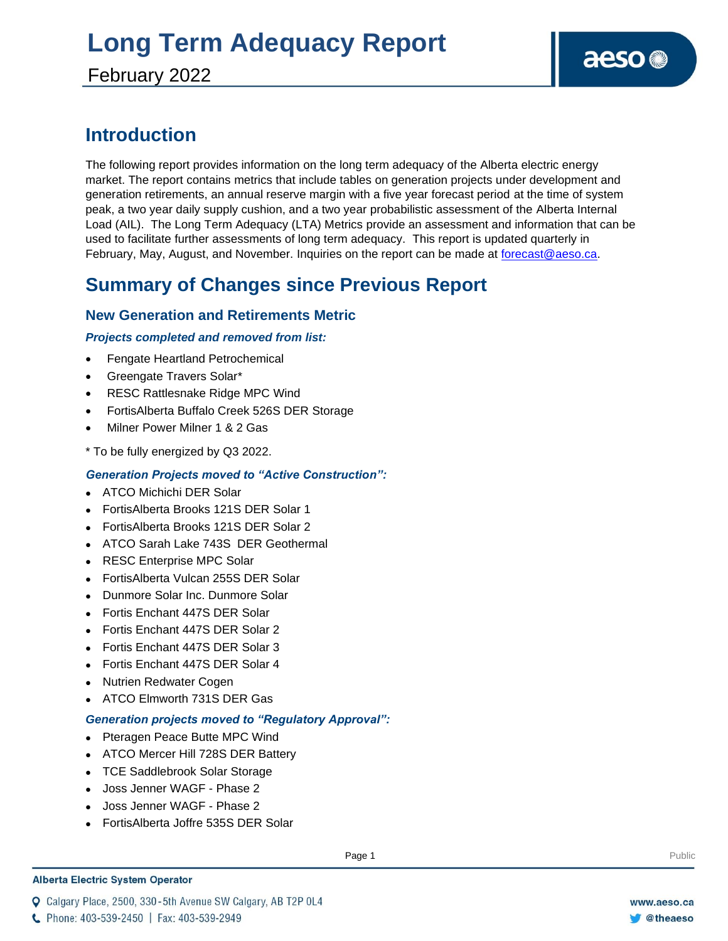# **Long Term Adequacy Report**

February 2022

### **Introduction**

The following report provides information on the long term adequacy of the Alberta electric energy market. The report contains metrics that include tables on generation projects under development and generation retirements, an annual reserve margin with a five year forecast period at the time of system peak, a two year daily supply cushion, and a two year probabilistic assessment of the Alberta Internal Load (AIL). The Long Term Adequacy (LTA) Metrics provide an assessment and information that can be used to facilitate further assessments of long term adequacy. This report is updated quarterly in February, May, August, and November. Inquiries on the report can be made at [forecast@aeso.ca.](mailto:forecast@aeso.ca)

### **Summary of Changes since Previous Report**

#### **New Generation and Retirements Metric**

#### *Projects completed and removed from list:*

- Fengate Heartland Petrochemical
- Greengate Travers Solar\*
- RESC Rattlesnake Ridge MPC Wind
- FortisAlberta Buffalo Creek 526S DER Storage
- Milner Power Milner 1 & 2 Gas
- \* To be fully energized by Q3 2022.

#### *Generation Projects moved to "Active Construction":*

- ⚫ ATCO Michichi DER Solar
- ⚫ FortisAlberta Brooks 121S DER Solar 1
- ⚫ FortisAlberta Brooks 121S DER Solar 2
- ⚫ ATCO Sarah Lake 743S DER Geothermal
- ⚫ RESC Enterprise MPC Solar
- ⚫ FortisAlberta Vulcan 255S DER Solar
- ⚫ Dunmore Solar Inc. Dunmore Solar
- ⚫ Fortis Enchant 447S DER Solar
- ⚫ Fortis Enchant 447S DER Solar 2
- ⚫ Fortis Enchant 447S DER Solar 3
- ⚫ Fortis Enchant 447S DER Solar 4
- ⚫ Nutrien Redwater Cogen
- ⚫ ATCO Elmworth 731S DER Gas

#### *Generation projects moved to "Regulatory Approval":*

- ⚫ Pteragen Peace Butte MPC Wind
- ⚫ ATCO Mercer Hill 728S DER Battery
- ⚫ TCE Saddlebrook Solar Storage
- ⚫ Joss Jenner WAGF Phase 2
- ⚫ Joss Jenner WAGF Phase 2
- ⚫ FortisAlberta Joffre 535S DER Solar

#### **Alberta Electric System Operator**

Q Calgary Place, 2500, 330-5th Avenue SW Calgary, AB T2P 0L4

**Enter Football Page 1** Public Page 1 **Public Page 1** Public Public Public Public Public Public Public Public Public Public Public Public Public Public Public Public Public Public Public Public Public Public Public Public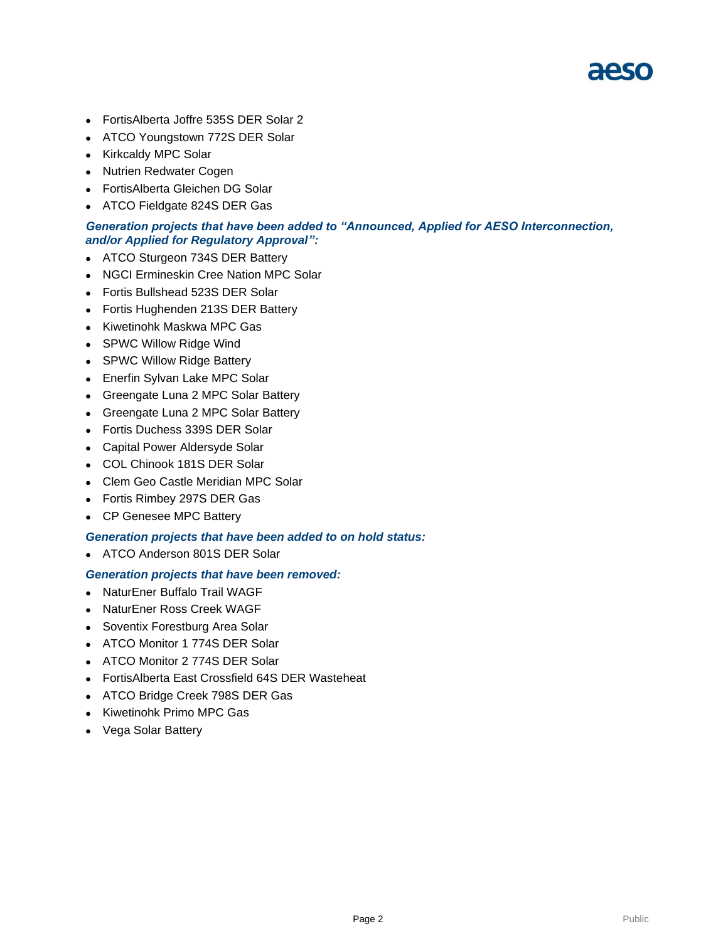

- ⚫ FortisAlberta Joffre 535S DER Solar 2
- ⚫ ATCO Youngstown 772S DER Solar
- ⚫ Kirkcaldy MPC Solar
- ⚫ Nutrien Redwater Cogen
- ⚫ FortisAlberta Gleichen DG Solar
- ATCO Fieldgate 824S DER Gas

#### *Generation projects that have been added to "Announced, Applied for AESO Interconnection, and/or Applied for Regulatory Approval":*

- ATCO Sturgeon 734S DER Battery
- ⚫ NGCI Ermineskin Cree Nation MPC Solar
- ⚫ Fortis Bullshead 523S DER Solar
- ⚫ Fortis Hughenden 213S DER Battery
- ⚫ Kiwetinohk Maskwa MPC Gas
- SPWC Willow Ridge Wind
- SPWC Willow Ridge Battery
- ⚫ Enerfin Sylvan Lake MPC Solar
- ⚫ Greengate Luna 2 MPC Solar Battery
- ⚫ Greengate Luna 2 MPC Solar Battery
- ⚫ Fortis Duchess 339S DER Solar
- ⚫ Capital Power Aldersyde Solar
- ⚫ COL Chinook 181S DER Solar
- ⚫ Clem Geo Castle Meridian MPC Solar
- ⚫ Fortis Rimbey 297S DER Gas
- ⚫ CP Genesee MPC Battery

#### *Generation projects that have been added to on hold status:*

⚫ ATCO Anderson 801S DER Solar

#### *Generation projects that have been removed:*

- ⚫ NaturEner Buffalo Trail WAGF
- ⚫ NaturEner Ross Creek WAGF
- ⚫ Soventix Forestburg Area Solar
- ⚫ ATCO Monitor 1 774S DER Solar
- ⚫ ATCO Monitor 2 774S DER Solar
- ⚫ FortisAlberta East Crossfield 64S DER Wasteheat
- ⚫ ATCO Bridge Creek 798S DER Gas
- ⚫ Kiwetinohk Primo MPC Gas
- ⚫ Vega Solar Battery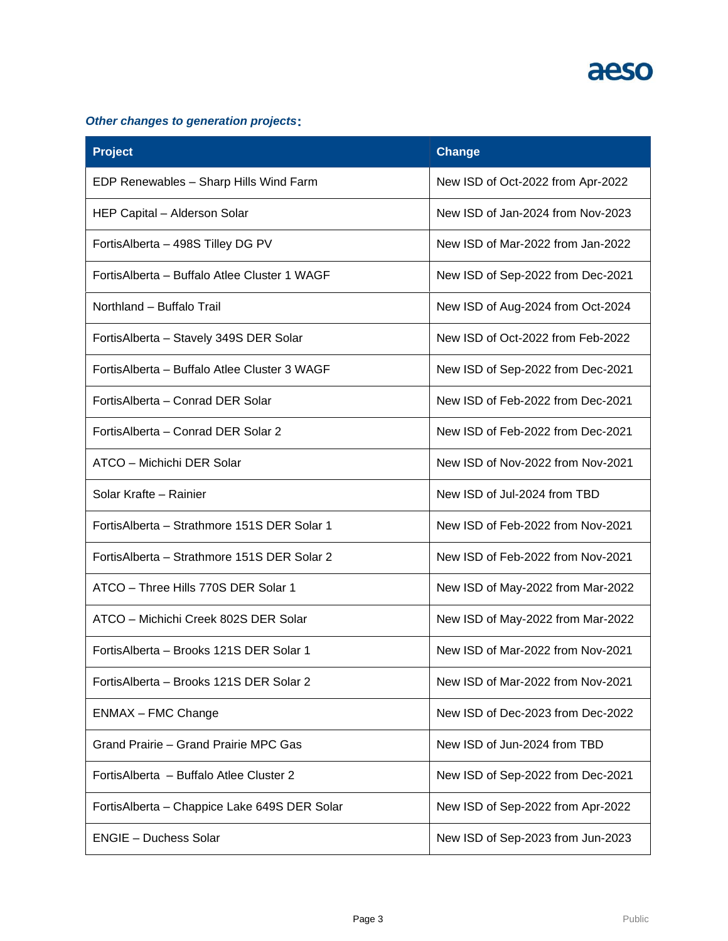#### *Other changes to generation projects***:**

| <b>Project</b>                                | <b>Change</b>                     |
|-----------------------------------------------|-----------------------------------|
| EDP Renewables - Sharp Hills Wind Farm        | New ISD of Oct-2022 from Apr-2022 |
| HEP Capital - Alderson Solar                  | New ISD of Jan-2024 from Nov-2023 |
| FortisAlberta - 498S Tilley DG PV             | New ISD of Mar-2022 from Jan-2022 |
| FortisAlberta - Buffalo Atlee Cluster 1 WAGF  | New ISD of Sep-2022 from Dec-2021 |
| Northland - Buffalo Trail                     | New ISD of Aug-2024 from Oct-2024 |
| FortisAlberta - Stavely 349S DER Solar        | New ISD of Oct-2022 from Feb-2022 |
| Fortis Alberta - Buffalo Atlee Cluster 3 WAGF | New ISD of Sep-2022 from Dec-2021 |
| FortisAlberta – Conrad DER Solar              | New ISD of Feb-2022 from Dec-2021 |
| FortisAlberta - Conrad DER Solar 2            | New ISD of Feb-2022 from Dec-2021 |
| ATCO - Michichi DER Solar                     | New ISD of Nov-2022 from Nov-2021 |
| Solar Krafte - Rainier                        | New ISD of Jul-2024 from TBD      |
| FortisAlberta - Strathmore 151S DER Solar 1   | New ISD of Feb-2022 from Nov-2021 |
| Fortis Alberta - Strathmore 151S DER Solar 2  | New ISD of Feb-2022 from Nov-2021 |
| ATCO - Three Hills 770S DER Solar 1           | New ISD of May-2022 from Mar-2022 |
| ATCO - Michichi Creek 802S DER Solar          | New ISD of May-2022 from Mar-2022 |
| Fortis Alberta - Brooks 121S DER Solar 1      | New ISD of Mar-2022 from Nov-2021 |
| Fortis Alberta - Brooks 121S DER Solar 2      | New ISD of Mar-2022 from Nov-2021 |
| <b>ENMAX - FMC Change</b>                     | New ISD of Dec-2023 from Dec-2022 |
| Grand Prairie - Grand Prairie MPC Gas         | New ISD of Jun-2024 from TBD      |
| Fortis Alberta - Buffalo Atlee Cluster 2      | New ISD of Sep-2022 from Dec-2021 |
| FortisAlberta - Chappice Lake 649S DER Solar  | New ISD of Sep-2022 from Apr-2022 |
| <b>ENGIE - Duchess Solar</b>                  | New ISD of Sep-2023 from Jun-2023 |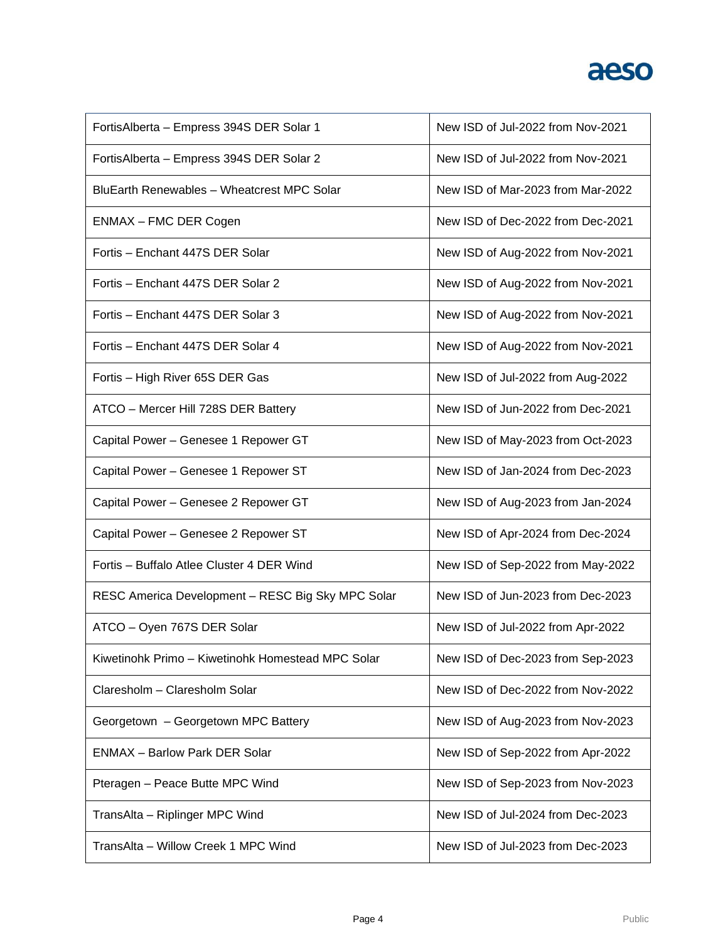| FortisAlberta - Empress 394S DER Solar 1          | New ISD of Jul-2022 from Nov-2021 |
|---------------------------------------------------|-----------------------------------|
| FortisAlberta - Empress 394S DER Solar 2          | New ISD of Jul-2022 from Nov-2021 |
| BluEarth Renewables - Wheatcrest MPC Solar        | New ISD of Mar-2023 from Mar-2022 |
| ENMAX - FMC DER Cogen                             | New ISD of Dec-2022 from Dec-2021 |
| Fortis - Enchant 447S DER Solar                   | New ISD of Aug-2022 from Nov-2021 |
| Fortis – Enchant 447S DER Solar 2                 | New ISD of Aug-2022 from Nov-2021 |
| Fortis - Enchant 447S DER Solar 3                 | New ISD of Aug-2022 from Nov-2021 |
| Fortis - Enchant 447S DER Solar 4                 | New ISD of Aug-2022 from Nov-2021 |
| Fortis - High River 65S DER Gas                   | New ISD of Jul-2022 from Aug-2022 |
| ATCO - Mercer Hill 728S DER Battery               | New ISD of Jun-2022 from Dec-2021 |
| Capital Power - Genesee 1 Repower GT              | New ISD of May-2023 from Oct-2023 |
| Capital Power - Genesee 1 Repower ST              | New ISD of Jan-2024 from Dec-2023 |
| Capital Power - Genesee 2 Repower GT              | New ISD of Aug-2023 from Jan-2024 |
| Capital Power - Genesee 2 Repower ST              | New ISD of Apr-2024 from Dec-2024 |
| Fortis - Buffalo Atlee Cluster 4 DER Wind         | New ISD of Sep-2022 from May-2022 |
| RESC America Development - RESC Big Sky MPC Solar | New ISD of Jun-2023 from Dec-2023 |
| ATCO - Oyen 767S DER Solar                        | New ISD of Jul-2022 from Apr-2022 |
| Kiwetinohk Primo - Kiwetinohk Homestead MPC Solar | New ISD of Dec-2023 from Sep-2023 |
| Claresholm - Claresholm Solar                     | New ISD of Dec-2022 from Nov-2022 |
| Georgetown - Georgetown MPC Battery               | New ISD of Aug-2023 from Nov-2023 |
| <b>ENMAX - Barlow Park DER Solar</b>              | New ISD of Sep-2022 from Apr-2022 |
| Pteragen - Peace Butte MPC Wind                   | New ISD of Sep-2023 from Nov-2023 |
| TransAlta - Riplinger MPC Wind                    | New ISD of Jul-2024 from Dec-2023 |
| TransAlta - Willow Creek 1 MPC Wind               | New ISD of Jul-2023 from Dec-2023 |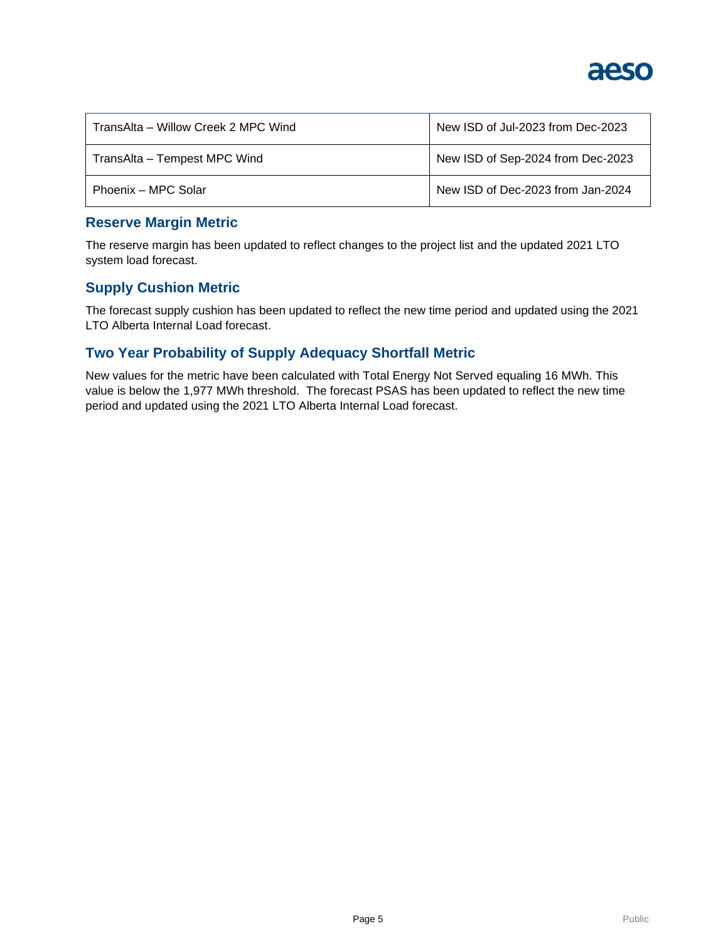

| TransAlta – Willow Creek 2 MPC Wind | New ISD of Jul-2023 from Dec-2023 |  |  |
|-------------------------------------|-----------------------------------|--|--|
| TransAlta - Tempest MPC Wind        | New ISD of Sep-2024 from Dec-2023 |  |  |
| Phoenix – MPC Solar                 | New ISD of Dec-2023 from Jan-2024 |  |  |

#### **Reserve Margin Metric**

The reserve margin has been updated to reflect changes to the project list and the updated 2021 LTO system load forecast.

#### **Supply Cushion Metric**

The forecast supply cushion has been updated to reflect the new time period and updated using the 2021 LTO Alberta Internal Load forecast.

#### **Two Year Probability of Supply Adequacy Shortfall Metric**

New values for the metric have been calculated with Total Energy Not Served equaling 16 MWh. This value is below the 1,977 MWh threshold. The forecast PSAS has been updated to reflect the new time period and updated using the 2021 LTO Alberta Internal Load forecast.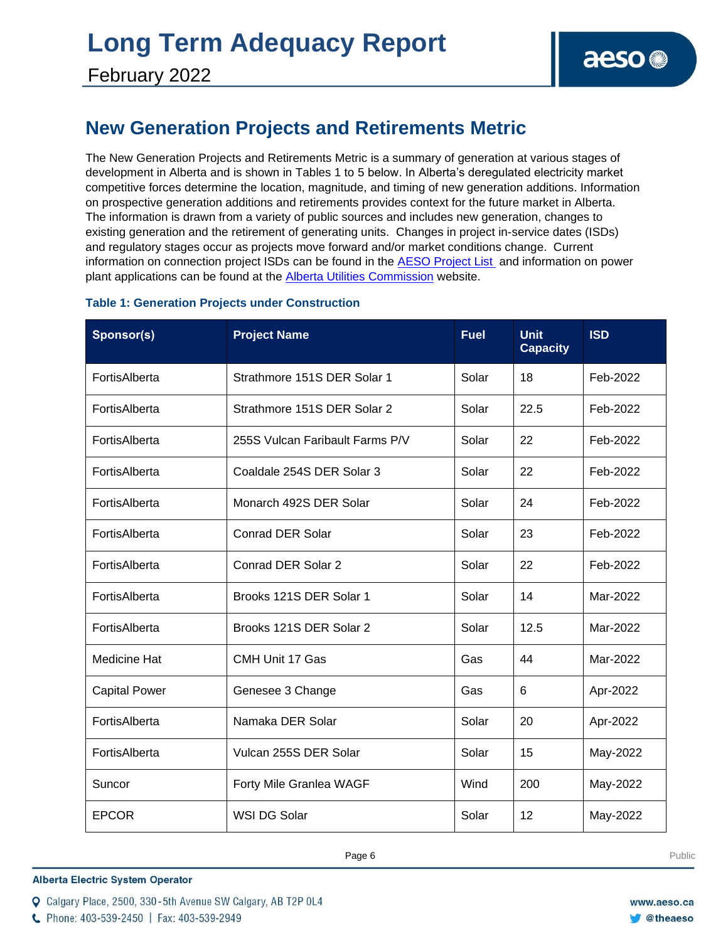# **Long Term Adequacy Report**

### **New Generation Projects and Retirements Metric**

The New Generation Projects and Retirements Metric is a summary of generation at various stages of development in Alberta and is shown in Tables 1 to 5 below. In Alberta's deregulated electricity market competitive forces determine the location, magnitude, and timing of new generation additions. Information on prospective generation additions and retirements provides context for the future market in Alberta. The information is drawn from a variety of public sources and includes new generation, changes to existing generation and the retirement of generating units. Changes in project in-service dates (ISDs) and regulatory stages occur as projects move forward and/or market conditions change. Current information on connection project ISDs can be found in the [AESO Project List](https://www.aeso.ca/grid/connecting-to-the-grid/) and information on power plant applications can be found at the [Alberta Utilities Commission](http://www.auc.ab.ca/) website.

#### **Table 1: Generation Projects under Construction**

| Sponsor(s)           | <b>Project Name</b>             | <b>Fuel</b> | <b>Unit</b><br><b>Capacity</b> | <b>ISD</b> |
|----------------------|---------------------------------|-------------|--------------------------------|------------|
| FortisAlberta        | Strathmore 151S DER Solar 1     | Solar       | 18                             | Feb-2022   |
| FortisAlberta        | Strathmore 151S DER Solar 2     | Solar       | 22.5                           | Feb-2022   |
| FortisAlberta        | 255S Vulcan Faribault Farms P/V | Solar       | 22                             | Feb-2022   |
| FortisAlberta        | Coaldale 254S DER Solar 3       | Solar       | 22                             | Feb-2022   |
| FortisAlberta        | Monarch 492S DER Solar          | Solar       | 24                             | Feb-2022   |
| FortisAlberta        | <b>Conrad DER Solar</b>         | Solar       | 23                             | Feb-2022   |
| FortisAlberta        | Conrad DER Solar 2              | Solar       | 22                             | Feb-2022   |
| FortisAlberta        | Brooks 121S DER Solar 1         | Solar       | 14                             | Mar-2022   |
| FortisAlberta        | Brooks 121S DER Solar 2         | Solar       | 12.5                           | Mar-2022   |
| <b>Medicine Hat</b>  | CMH Unit 17 Gas                 | Gas         | 44                             | Mar-2022   |
| <b>Capital Power</b> | Genesee 3 Change                | Gas         | 6                              | Apr-2022   |
| FortisAlberta        | Namaka DER Solar                | Solar       | 20                             | Apr-2022   |
| FortisAlberta        | Vulcan 255S DER Solar           | Solar       | 15                             | May-2022   |
| Suncor               | Forty Mile Granlea WAGF         | Wind        | 200                            | May-2022   |
| <b>EPCOR</b>         | <b>WSI DG Solar</b>             | Solar       | 12                             | May-2022   |

**Enter Football Page 6** Public Page **6** Public Public Public Public Public Public Public Public Public Public Public Public Public Public Public Public Public Public Public Public Public Public Public Public Public Public

**Alberta Electric System Operator** 

C Phone: 403-539-2450 | Fax: 403-539-2949

Q Calgary Place, 2500, 330-5th Avenue SW Calgary, AB T2P 0L4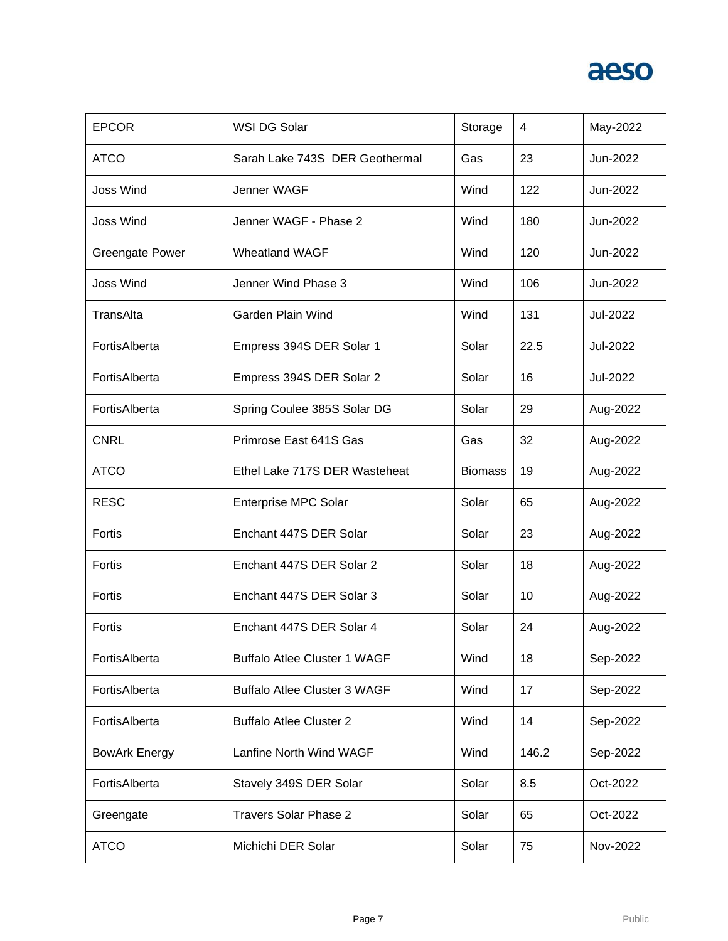| <b>EPCOR</b>           | WSI DG Solar                        | Storage        | 4     | May-2022 |
|------------------------|-------------------------------------|----------------|-------|----------|
| <b>ATCO</b>            | Sarah Lake 743S DER Geothermal      | Gas            | 23    | Jun-2022 |
| <b>Joss Wind</b>       | Jenner WAGF                         | Wind           | 122   | Jun-2022 |
| <b>Joss Wind</b>       | Jenner WAGF - Phase 2               | Wind           | 180   | Jun-2022 |
| <b>Greengate Power</b> | <b>Wheatland WAGF</b>               | Wind           | 120   | Jun-2022 |
| <b>Joss Wind</b>       | Jenner Wind Phase 3                 | Wind           | 106   | Jun-2022 |
| TransAlta              | Garden Plain Wind                   | Wind           | 131   | Jul-2022 |
| FortisAlberta          | Empress 394S DER Solar 1            | Solar          | 22.5  | Jul-2022 |
| FortisAlberta          | Empress 394S DER Solar 2            | Solar          | 16    | Jul-2022 |
| FortisAlberta          | Spring Coulee 385S Solar DG         | Solar          | 29    | Aug-2022 |
| <b>CNRL</b>            | Primrose East 641S Gas              | Gas            | 32    | Aug-2022 |
| <b>ATCO</b>            | Ethel Lake 717S DER Wasteheat       | <b>Biomass</b> | 19    | Aug-2022 |
| <b>RESC</b>            | <b>Enterprise MPC Solar</b>         | Solar          | 65    | Aug-2022 |
| Fortis                 | Enchant 447S DER Solar              | Solar          | 23    | Aug-2022 |
| Fortis                 | Enchant 447S DER Solar 2            | Solar          | 18    | Aug-2022 |
| Fortis                 | Enchant 447S DER Solar 3            | Solar          | 10    | Aug-2022 |
| Fortis                 | Enchant 447S DER Solar 4            | Solar          | 24    | Aug-2022 |
| FortisAlberta          | <b>Buffalo Atlee Cluster 1 WAGF</b> | Wind           | 18    | Sep-2022 |
| FortisAlberta          | <b>Buffalo Atlee Cluster 3 WAGF</b> | Wind           | 17    | Sep-2022 |
| FortisAlberta          | <b>Buffalo Atlee Cluster 2</b>      | Wind           | 14    | Sep-2022 |
| <b>BowArk Energy</b>   | Lanfine North Wind WAGF             | Wind           | 146.2 | Sep-2022 |
| FortisAlberta          | Stavely 349S DER Solar              | Solar          | 8.5   | Oct-2022 |
| Greengate              | <b>Travers Solar Phase 2</b>        | Solar          | 65    | Oct-2022 |
| <b>ATCO</b>            | Michichi DER Solar                  | Solar          | 75    | Nov-2022 |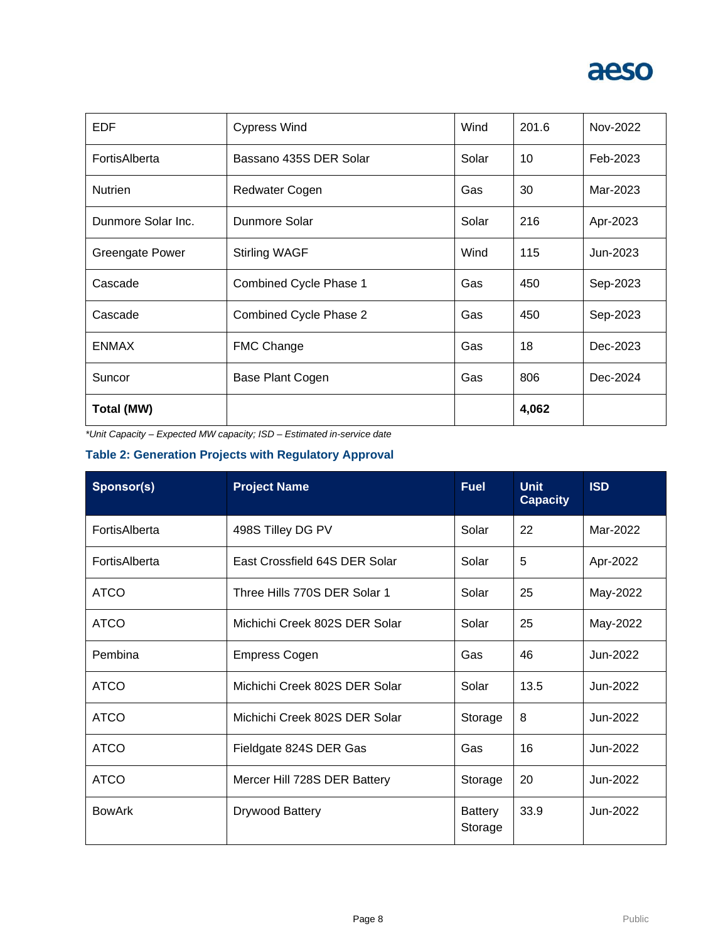

| EDF                    | <b>Cypress Wind</b>    | Wind  | 201.6 | Nov-2022 |
|------------------------|------------------------|-------|-------|----------|
| FortisAlberta          | Bassano 435S DER Solar | Solar | 10    | Feb-2023 |
| <b>Nutrien</b>         | <b>Redwater Cogen</b>  | Gas   | 30    | Mar-2023 |
| Dunmore Solar Inc.     | Dunmore Solar          | Solar | 216   | Apr-2023 |
| <b>Greengate Power</b> | <b>Stirling WAGF</b>   | Wind  | 115   | Jun-2023 |
| Cascade                | Combined Cycle Phase 1 | Gas   | 450   | Sep-2023 |
| Cascade                | Combined Cycle Phase 2 | Gas   | 450   | Sep-2023 |
| <b>ENMAX</b>           | <b>FMC Change</b>      | Gas   | 18    | Dec-2023 |
| Suncor                 | Base Plant Cogen       | Gas   | 806   | Dec-2024 |
| Total (MW)             |                        |       | 4,062 |          |

*\*Unit Capacity – Expected MW capacity; ISD – Estimated in-service date*

#### **Table 2: Generation Projects with Regulatory Approval**

| Sponsor(s)    | <b>Project Name</b>           | <b>Fuel</b>               | <b>Unit</b><br><b>Capacity</b> | <b>ISD</b> |
|---------------|-------------------------------|---------------------------|--------------------------------|------------|
| FortisAlberta | 498S Tilley DG PV             | Solar                     | 22                             | Mar-2022   |
| FortisAlberta | East Crossfield 64S DER Solar | Solar                     | 5                              | Apr-2022   |
| <b>ATCO</b>   | Three Hills 770S DER Solar 1  | Solar                     | 25                             | May-2022   |
| <b>ATCO</b>   | Michichi Creek 802S DER Solar | Solar                     | 25                             | May-2022   |
| Pembina       | <b>Empress Cogen</b>          | Gas                       | 46                             | Jun-2022   |
| <b>ATCO</b>   | Michichi Creek 802S DER Solar | Solar                     | 13.5                           | Jun-2022   |
| <b>ATCO</b>   | Michichi Creek 802S DER Solar | Storage                   | 8                              | Jun-2022   |
| <b>ATCO</b>   | Fieldgate 824S DER Gas        | Gas                       | 16                             | Jun-2022   |
| <b>ATCO</b>   | Mercer Hill 728S DER Battery  | Storage                   | 20                             | Jun-2022   |
| <b>BowArk</b> | Drywood Battery               | <b>Battery</b><br>Storage | 33.9                           | Jun-2022   |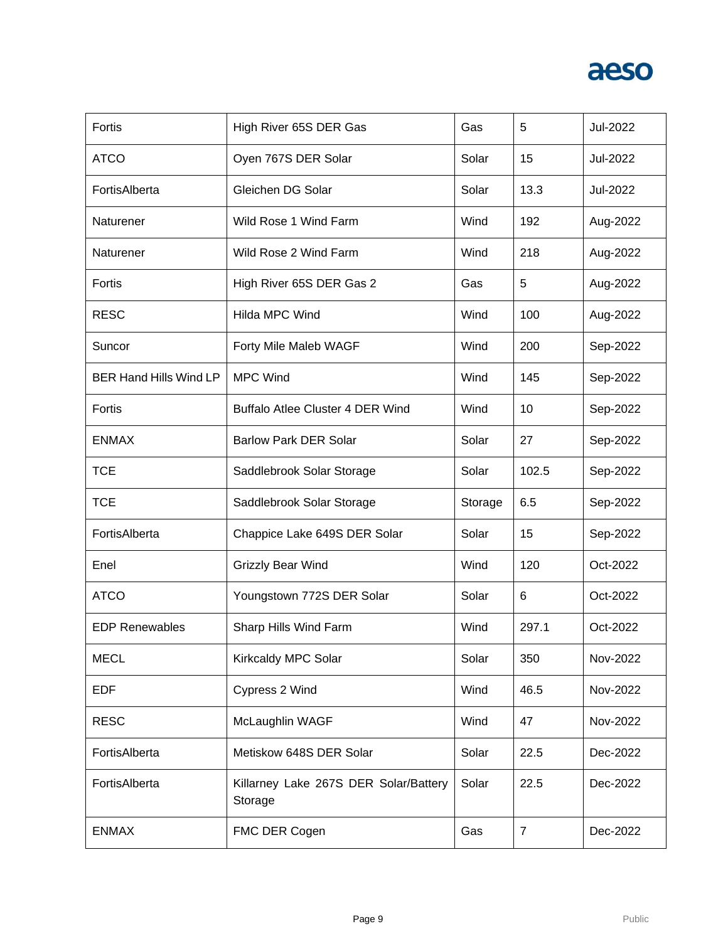| Fortis                        | High River 65S DER Gas                           | Gas     | 5              | Jul-2022 |
|-------------------------------|--------------------------------------------------|---------|----------------|----------|
| <b>ATCO</b>                   | Oyen 767S DER Solar                              | Solar   | 15             | Jul-2022 |
| FortisAlberta                 | Gleichen DG Solar                                | Solar   | 13.3           | Jul-2022 |
| Naturener                     | Wild Rose 1 Wind Farm                            | Wind    | 192            | Aug-2022 |
| Naturener                     | Wild Rose 2 Wind Farm                            | Wind    | 218            | Aug-2022 |
| Fortis                        | High River 65S DER Gas 2                         | Gas     | $\overline{5}$ | Aug-2022 |
| <b>RESC</b>                   | Hilda MPC Wind                                   | Wind    | 100            | Aug-2022 |
| Suncor                        | Forty Mile Maleb WAGF                            | Wind    | 200            | Sep-2022 |
| <b>BER Hand Hills Wind LP</b> | <b>MPC Wind</b>                                  | Wind    | 145            | Sep-2022 |
| Fortis                        | <b>Buffalo Atlee Cluster 4 DER Wind</b>          | Wind    | 10             | Sep-2022 |
| <b>ENMAX</b>                  | <b>Barlow Park DER Solar</b>                     | Solar   | 27             | Sep-2022 |
| <b>TCE</b>                    | Saddlebrook Solar Storage                        | Solar   | 102.5          | Sep-2022 |
| <b>TCE</b>                    | Saddlebrook Solar Storage                        | Storage | 6.5            | Sep-2022 |
| FortisAlberta                 | Chappice Lake 649S DER Solar                     | Solar   | 15             | Sep-2022 |
| Enel                          | Grizzly Bear Wind                                | Wind    | 120            | Oct-2022 |
| <b>ATCO</b>                   | Youngstown 772S DER Solar                        | Solar   | 6              | Oct-2022 |
| <b>EDP Renewables</b>         | Sharp Hills Wind Farm                            | Wind    | 297.1          | Oct-2022 |
| <b>MECL</b>                   | Kirkcaldy MPC Solar                              | Solar   | 350            | Nov-2022 |
| <b>EDF</b>                    | Cypress 2 Wind                                   | Wind    | 46.5           | Nov-2022 |
| <b>RESC</b>                   | McLaughlin WAGF                                  | Wind    | 47             | Nov-2022 |
| FortisAlberta                 | Metiskow 648S DER Solar                          | Solar   | 22.5           | Dec-2022 |
| FortisAlberta                 | Killarney Lake 267S DER Solar/Battery<br>Storage | Solar   | 22.5           | Dec-2022 |
| <b>ENMAX</b>                  | FMC DER Cogen                                    | Gas     | $\overline{7}$ | Dec-2022 |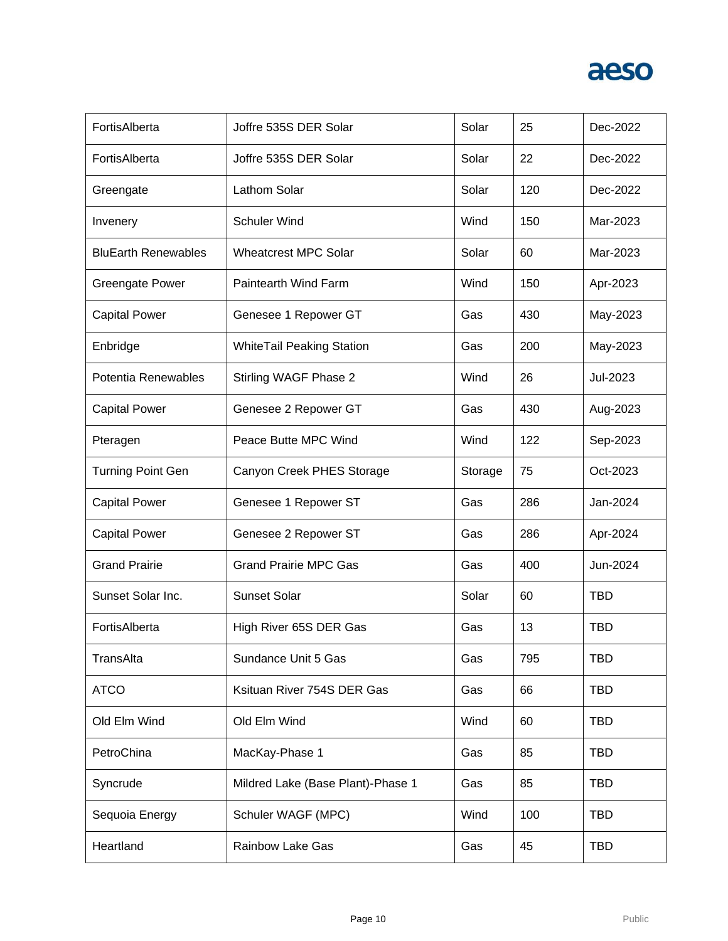| FortisAlberta              | Joffre 535S DER Solar             | Solar   | 25  | Dec-2022   |
|----------------------------|-----------------------------------|---------|-----|------------|
| FortisAlberta              | Joffre 535S DER Solar             | Solar   | 22  | Dec-2022   |
| Greengate                  | Lathom Solar                      | Solar   | 120 | Dec-2022   |
| Invenery                   | Schuler Wind                      | Wind    | 150 | Mar-2023   |
| <b>BluEarth Renewables</b> | <b>Wheatcrest MPC Solar</b>       | Solar   | 60  | Mar-2023   |
| <b>Greengate Power</b>     | Paintearth Wind Farm              | Wind    | 150 | Apr-2023   |
| <b>Capital Power</b>       | Genesee 1 Repower GT              | Gas     | 430 | May-2023   |
| Enbridge                   | <b>WhiteTail Peaking Station</b>  | Gas     | 200 | May-2023   |
| Potentia Renewables        | Stirling WAGF Phase 2             | Wind    | 26  | Jul-2023   |
| <b>Capital Power</b>       | Genesee 2 Repower GT              | Gas     | 430 | Aug-2023   |
| Pteragen                   | Peace Butte MPC Wind              | Wind    | 122 | Sep-2023   |
| <b>Turning Point Gen</b>   | Canyon Creek PHES Storage         | Storage | 75  | Oct-2023   |
| <b>Capital Power</b>       | Genesee 1 Repower ST              | Gas     | 286 | Jan-2024   |
| <b>Capital Power</b>       | Genesee 2 Repower ST              | Gas     | 286 | Apr-2024   |
| <b>Grand Prairie</b>       | <b>Grand Prairie MPC Gas</b>      | Gas     | 400 | Jun-2024   |
| Sunset Solar Inc.          | <b>Sunset Solar</b>               | Solar   | 60  | <b>TBD</b> |
| FortisAlberta              | High River 65S DER Gas            | Gas     | 13  | <b>TBD</b> |
| TransAlta                  | Sundance Unit 5 Gas               | Gas     | 795 | <b>TBD</b> |
| <b>ATCO</b>                | Ksituan River 754S DER Gas        | Gas     | 66  | <b>TBD</b> |
| Old Elm Wind               | Old Elm Wind                      | Wind    | 60  | <b>TBD</b> |
| PetroChina                 | MacKay-Phase 1                    | Gas     | 85  | <b>TBD</b> |
| Syncrude                   | Mildred Lake (Base Plant)-Phase 1 | Gas     | 85  | <b>TBD</b> |
| Sequoia Energy             | Schuler WAGF (MPC)                | Wind    | 100 | <b>TBD</b> |
| Heartland                  | <b>Rainbow Lake Gas</b>           | Gas     | 45  | <b>TBD</b> |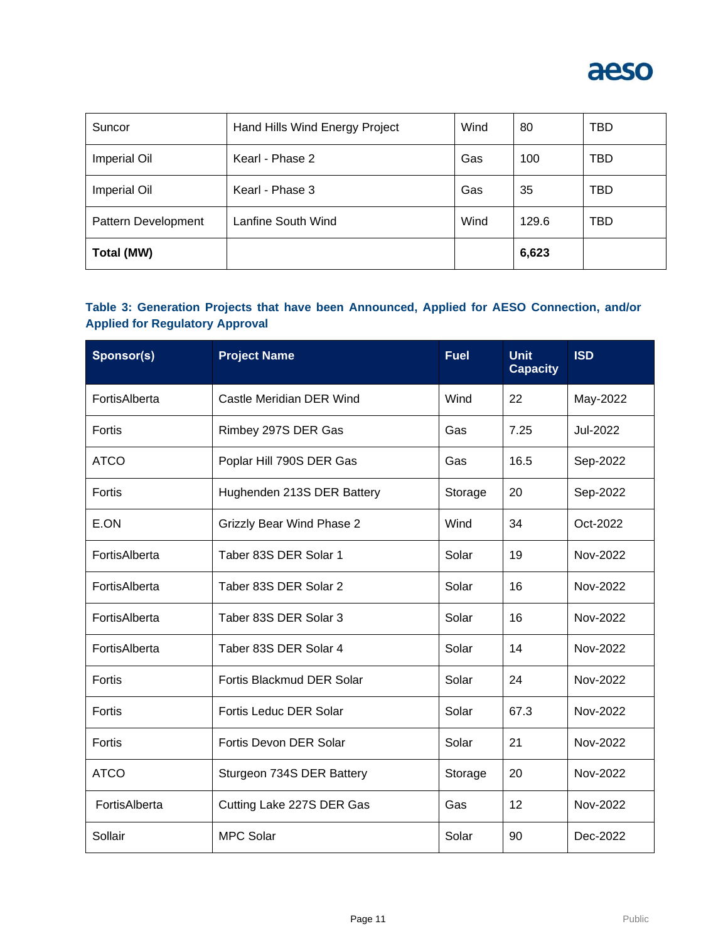

| Suncor              | Hand Hills Wind Energy Project | Wind | 80    | <b>TBD</b> |
|---------------------|--------------------------------|------|-------|------------|
| <b>Imperial Oil</b> | Kearl - Phase 2                | Gas  | 100   | <b>TBD</b> |
| <b>Imperial Oil</b> | Kearl - Phase 3                | Gas  | 35    | <b>TBD</b> |
| Pattern Development | Lanfine South Wind             | Wind | 129.6 | TBD        |
| Total (MW)          |                                |      | 6,623 |            |

#### **Table 3: Generation Projects that have been Announced, Applied for AESO Connection, and/or Applied for Regulatory Approval**

| Sponsor(s)    | <b>Project Name</b>              | <b>Fuel</b> | <b>Unit</b><br><b>Capacity</b> | <b>ISD</b> |
|---------------|----------------------------------|-------------|--------------------------------|------------|
| FortisAlberta | Castle Meridian DER Wind         | Wind        | 22                             | May-2022   |
| Fortis        | Rimbey 297S DER Gas              | Gas         | 7.25                           | Jul-2022   |
| <b>ATCO</b>   | Poplar Hill 790S DER Gas         | Gas         | 16.5                           | Sep-2022   |
| Fortis        | Hughenden 213S DER Battery       | Storage     | 20                             | Sep-2022   |
| E.ON          | <b>Grizzly Bear Wind Phase 2</b> | Wind        | 34                             | Oct-2022   |
| FortisAlberta | Taber 83S DER Solar 1            | Solar       | 19                             | Nov-2022   |
| FortisAlberta | Taber 83S DER Solar 2            | Solar       | 16                             | Nov-2022   |
| FortisAlberta | Taber 83S DER Solar 3            | Solar       | 16                             | Nov-2022   |
| FortisAlberta | Taber 83S DER Solar 4            | Solar       | 14                             | Nov-2022   |
| Fortis        | Fortis Blackmud DER Solar        | Solar       | 24                             | Nov-2022   |
| Fortis        | Fortis Leduc DER Solar           | Solar       | 67.3                           | Nov-2022   |
| Fortis        | Fortis Devon DER Solar           | Solar       | 21                             | Nov-2022   |
| <b>ATCO</b>   | Sturgeon 734S DER Battery        | Storage     | 20                             | Nov-2022   |
| FortisAlberta | Cutting Lake 227S DER Gas        | Gas         | 12                             | Nov-2022   |
| Sollair       | <b>MPC Solar</b>                 | Solar       | 90                             | Dec-2022   |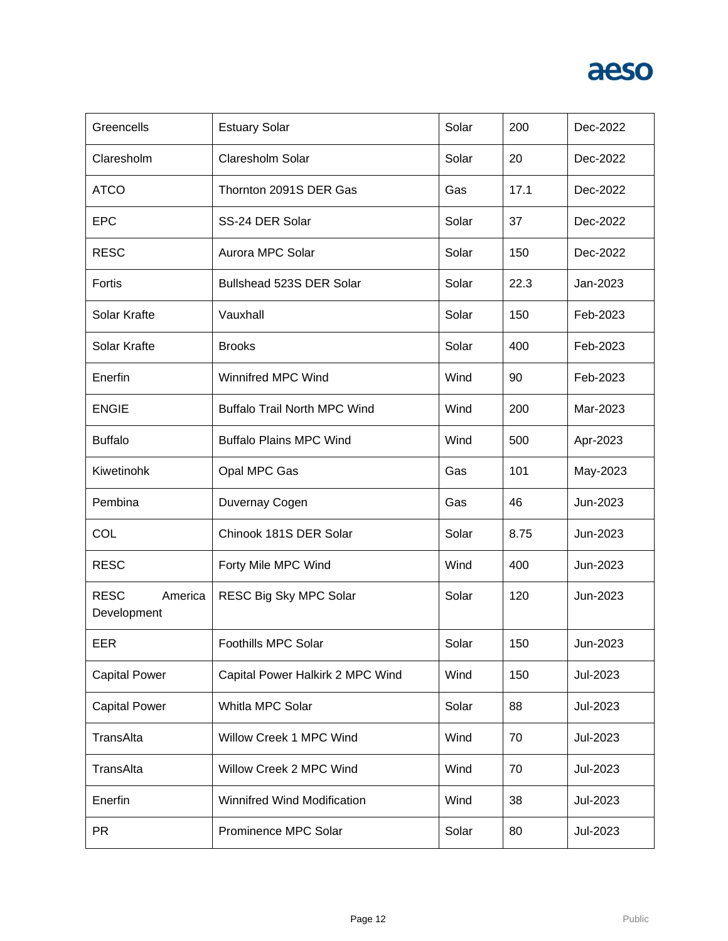

| Greencells                            | <b>Estuary Solar</b>                | Solar | 200  | Dec-2022 |
|---------------------------------------|-------------------------------------|-------|------|----------|
| Claresholm                            | Claresholm Solar                    | Solar | 20   | Dec-2022 |
| <b>ATCO</b>                           | Thornton 2091S DER Gas              | Gas   | 17.1 | Dec-2022 |
| <b>EPC</b>                            | SS-24 DER Solar                     | Solar | 37   | Dec-2022 |
| <b>RESC</b>                           | Aurora MPC Solar                    | Solar | 150  | Dec-2022 |
| Fortis                                | Bullshead 523S DER Solar            | Solar | 22.3 | Jan-2023 |
| Solar Krafte                          | Vauxhall                            | Solar | 150  | Feb-2023 |
| Solar Krafte                          | <b>Brooks</b>                       | Solar | 400  | Feb-2023 |
| Enerfin                               | Winnifred MPC Wind                  | Wind  | 90   | Feb-2023 |
| <b>ENGIE</b>                          | <b>Buffalo Trail North MPC Wind</b> | Wind  | 200  | Mar-2023 |
| <b>Buffalo</b>                        | <b>Buffalo Plains MPC Wind</b>      | Wind  | 500  | Apr-2023 |
| Kiwetinohk                            | Opal MPC Gas                        | Gas   | 101  | May-2023 |
| Pembina                               | Duvernay Cogen                      | Gas   | 46   | Jun-2023 |
| COL                                   | Chinook 181S DER Solar              | Solar | 8.75 | Jun-2023 |
| <b>RESC</b>                           | Forty Mile MPC Wind                 | Wind  | 400  | Jun-2023 |
| <b>RESC</b><br>America<br>Development | RESC Big Sky MPC Solar              | Solar | 120  | Jun-2023 |
| EER                                   | Foothills MPC Solar                 | Solar | 150  | Jun-2023 |
| <b>Capital Power</b>                  | Capital Power Halkirk 2 MPC Wind    | Wind  | 150  | Jul-2023 |
| <b>Capital Power</b>                  | Whitla MPC Solar                    | Solar | 88   | Jul-2023 |
| TransAlta                             | Willow Creek 1 MPC Wind             | Wind  | 70   | Jul-2023 |
| TransAlta                             | Willow Creek 2 MPC Wind             | Wind  | 70   | Jul-2023 |
| Enerfin                               | Winnifred Wind Modification         | Wind  | 38   | Jul-2023 |
| <b>PR</b>                             | Prominence MPC Solar                | Solar | 80   | Jul-2023 |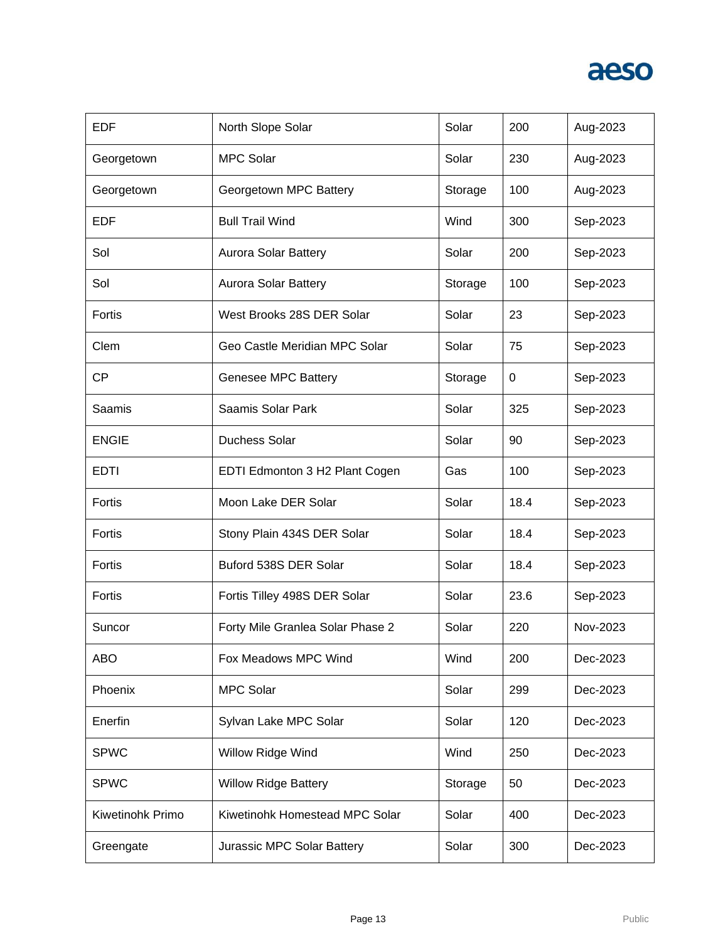

| <b>EDF</b>       | North Slope Solar                | Solar   | 200  | Aug-2023 |
|------------------|----------------------------------|---------|------|----------|
| Georgetown       | <b>MPC Solar</b>                 | Solar   | 230  | Aug-2023 |
| Georgetown       | Georgetown MPC Battery           | Storage | 100  | Aug-2023 |
| EDF              | <b>Bull Trail Wind</b>           | Wind    | 300  | Sep-2023 |
| Sol              | Aurora Solar Battery             | Solar   | 200  | Sep-2023 |
| Sol              | Aurora Solar Battery             | Storage | 100  | Sep-2023 |
| Fortis           | West Brooks 28S DER Solar        | Solar   | 23   | Sep-2023 |
| Clem             | Geo Castle Meridian MPC Solar    | Solar   | 75   | Sep-2023 |
| <b>CP</b>        | Genesee MPC Battery              | Storage | 0    | Sep-2023 |
| Saamis           | Saamis Solar Park                | Solar   | 325  | Sep-2023 |
| <b>ENGIE</b>     | <b>Duchess Solar</b>             | Solar   | 90   | Sep-2023 |
| <b>EDTI</b>      | EDTI Edmonton 3 H2 Plant Cogen   | Gas     | 100  | Sep-2023 |
| Fortis           | Moon Lake DER Solar              | Solar   | 18.4 | Sep-2023 |
| Fortis           | Stony Plain 434S DER Solar       | Solar   | 18.4 | Sep-2023 |
| Fortis           | Buford 538S DER Solar            | Solar   | 18.4 | Sep-2023 |
| Fortis           | Fortis Tilley 498S DER Solar     | Solar   | 23.6 | Sep-2023 |
| Suncor           | Forty Mile Granlea Solar Phase 2 | Solar   | 220  | Nov-2023 |
| <b>ABO</b>       | Fox Meadows MPC Wind             | Wind    | 200  | Dec-2023 |
| Phoenix          | <b>MPC Solar</b>                 | Solar   | 299  | Dec-2023 |
| Enerfin          | Sylvan Lake MPC Solar            | Solar   | 120  | Dec-2023 |
| <b>SPWC</b>      | Willow Ridge Wind                | Wind    | 250  | Dec-2023 |
| <b>SPWC</b>      | <b>Willow Ridge Battery</b>      | Storage | 50   | Dec-2023 |
| Kiwetinohk Primo | Kiwetinohk Homestead MPC Solar   | Solar   | 400  | Dec-2023 |
| Greengate        | Jurassic MPC Solar Battery       | Solar   | 300  | Dec-2023 |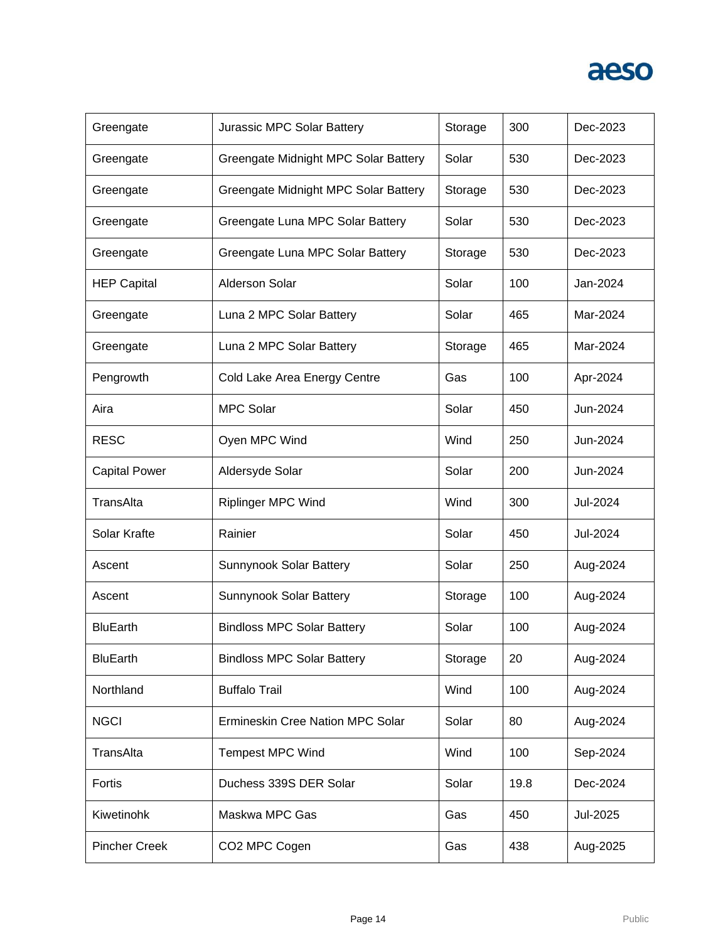| Greengate            | Jurassic MPC Solar Battery           | Storage | 300  | Dec-2023 |
|----------------------|--------------------------------------|---------|------|----------|
| Greengate            | Greengate Midnight MPC Solar Battery | Solar   | 530  | Dec-2023 |
| Greengate            | Greengate Midnight MPC Solar Battery | Storage | 530  | Dec-2023 |
| Greengate            | Greengate Luna MPC Solar Battery     | Solar   | 530  | Dec-2023 |
| Greengate            | Greengate Luna MPC Solar Battery     | Storage | 530  | Dec-2023 |
| <b>HEP Capital</b>   | <b>Alderson Solar</b>                | Solar   | 100  | Jan-2024 |
| Greengate            | Luna 2 MPC Solar Battery             | Solar   | 465  | Mar-2024 |
| Greengate            | Luna 2 MPC Solar Battery             | Storage | 465  | Mar-2024 |
| Pengrowth            | Cold Lake Area Energy Centre         | Gas     | 100  | Apr-2024 |
| Aira                 | <b>MPC Solar</b>                     | Solar   | 450  | Jun-2024 |
| <b>RESC</b>          | Oyen MPC Wind                        | Wind    | 250  | Jun-2024 |
| <b>Capital Power</b> | Aldersyde Solar                      | Solar   | 200  | Jun-2024 |
|                      |                                      |         |      |          |
| TransAlta            | <b>Riplinger MPC Wind</b>            | Wind    | 300  | Jul-2024 |
| Solar Krafte         | Rainier                              | Solar   | 450  | Jul-2024 |
| Ascent               | Sunnynook Solar Battery              | Solar   | 250  | Aug-2024 |
| Ascent               | Sunnynook Solar Battery              | Storage | 100  | Aug-2024 |
| <b>BluEarth</b>      | <b>Bindloss MPC Solar Battery</b>    | Solar   | 100  | Aug-2024 |
| <b>BluEarth</b>      | <b>Bindloss MPC Solar Battery</b>    | Storage | 20   | Aug-2024 |
| Northland            | <b>Buffalo Trail</b>                 | Wind    | 100  | Aug-2024 |
| <b>NGCI</b>          | Ermineskin Cree Nation MPC Solar     | Solar   | 80   | Aug-2024 |
| TransAlta            | <b>Tempest MPC Wind</b>              | Wind    | 100  | Sep-2024 |
| Fortis               | Duchess 339S DER Solar               | Solar   | 19.8 | Dec-2024 |
| Kiwetinohk           | Maskwa MPC Gas                       | Gas     | 450  | Jul-2025 |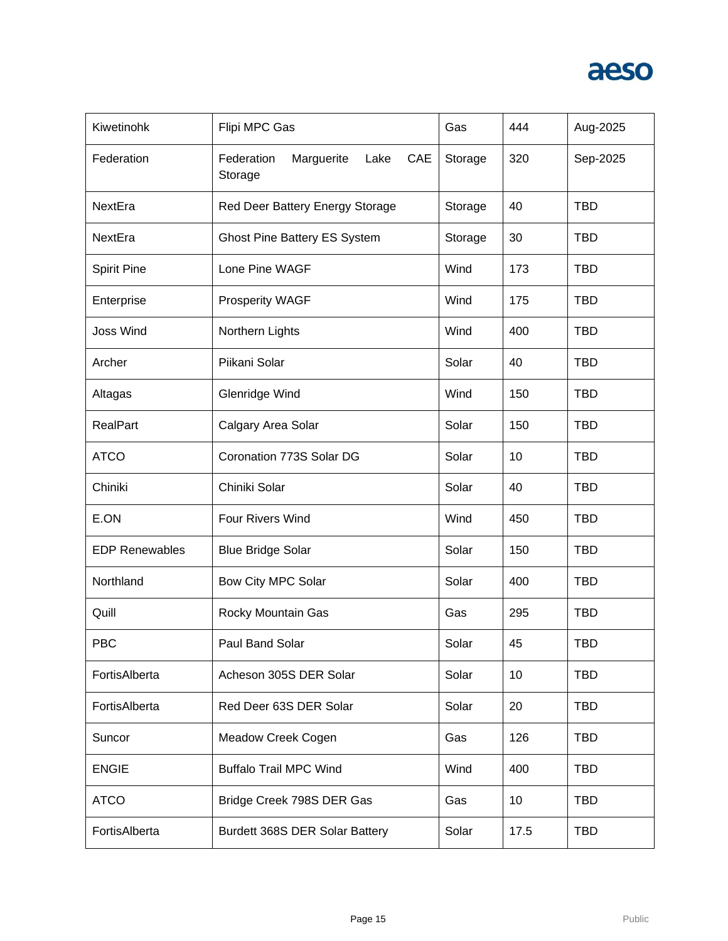

| Kiwetinohk            | Flipi MPC Gas                                      | Gas     | 444  | Aug-2025   |
|-----------------------|----------------------------------------------------|---------|------|------------|
| Federation            | Federation<br>CAE<br>Marguerite<br>Lake<br>Storage | Storage | 320  | Sep-2025   |
| NextEra               | Red Deer Battery Energy Storage                    | Storage | 40   | <b>TBD</b> |
| NextEra               | <b>Ghost Pine Battery ES System</b>                | Storage | 30   | <b>TBD</b> |
| <b>Spirit Pine</b>    | Lone Pine WAGF                                     | Wind    | 173  | <b>TBD</b> |
| Enterprise            | <b>Prosperity WAGF</b>                             | Wind    | 175  | <b>TBD</b> |
| Joss Wind             | Northern Lights                                    | Wind    | 400  | <b>TBD</b> |
| Archer                | Piikani Solar                                      | Solar   | 40   | <b>TBD</b> |
| Altagas               | Glenridge Wind                                     | Wind    | 150  | <b>TBD</b> |
| <b>RealPart</b>       | Calgary Area Solar                                 | Solar   | 150  | <b>TBD</b> |
| <b>ATCO</b>           | Coronation 773S Solar DG                           | Solar   | 10   | <b>TBD</b> |
| Chiniki               | Chiniki Solar                                      | Solar   | 40   | <b>TBD</b> |
| E.ON                  | Four Rivers Wind                                   | Wind    | 450  | <b>TBD</b> |
| <b>EDP Renewables</b> | <b>Blue Bridge Solar</b>                           | Solar   | 150  | <b>TBD</b> |
| Northland             | Bow City MPC Solar                                 | Solar   | 400  | <b>TBD</b> |
| Quill                 | Rocky Mountain Gas                                 | Gas     | 295  | <b>TBD</b> |
| PBC                   | Paul Band Solar                                    | Solar   | 45   | <b>TBD</b> |
| FortisAlberta         | Acheson 305S DER Solar                             | Solar   | 10   | <b>TBD</b> |
| FortisAlberta         | Red Deer 63S DER Solar                             | Solar   | 20   | <b>TBD</b> |
| Suncor                | Meadow Creek Cogen                                 | Gas     | 126  | <b>TBD</b> |
| <b>ENGIE</b>          | <b>Buffalo Trail MPC Wind</b>                      | Wind    | 400  | <b>TBD</b> |
| <b>ATCO</b>           | Bridge Creek 798S DER Gas                          | Gas     | 10   | <b>TBD</b> |
| FortisAlberta         | Burdett 368S DER Solar Battery                     | Solar   | 17.5 | <b>TBD</b> |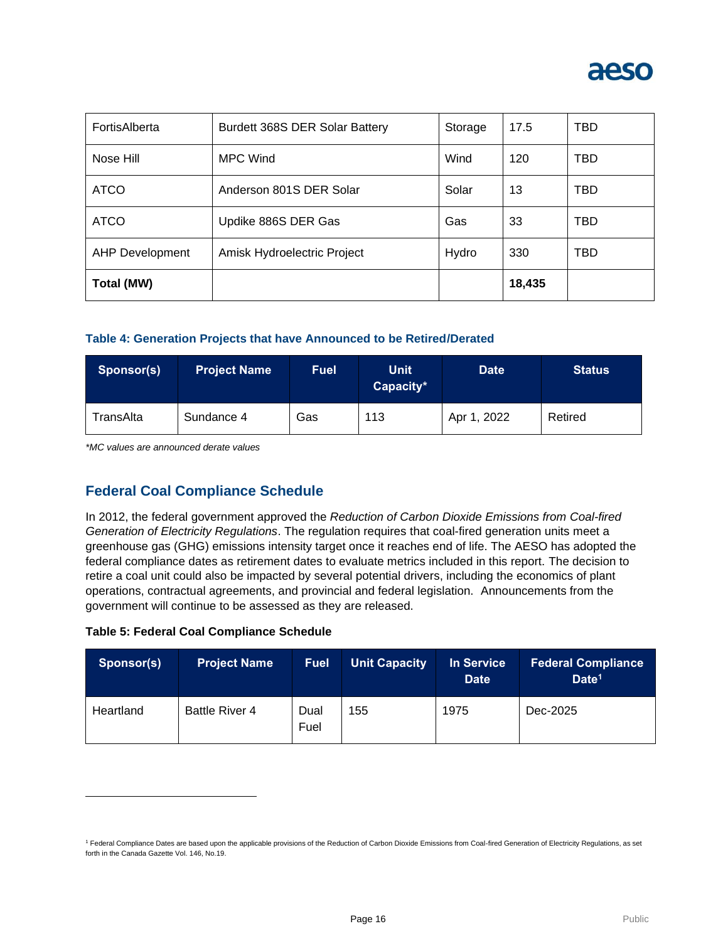

| FortisAlberta          | Burdett 368S DER Solar Battery | Storage | 17.5   | TBD |
|------------------------|--------------------------------|---------|--------|-----|
| Nose Hill              | <b>MPC Wind</b>                | Wind    | 120    | TBD |
| <b>ATCO</b>            | Anderson 801S DER Solar        | Solar   | 13     | TBD |
| <b>ATCO</b>            | Updike 886S DER Gas            | Gas     | 33     | TBD |
| <b>AHP Development</b> | Amisk Hydroelectric Project    | Hydro   | 330    | TBD |
| Total (MW)             |                                |         | 18,435 |     |

#### **Table 4: Generation Projects that have Announced to be Retired/Derated**

| Sponsor(s)            | <b>Project Name</b> | Fuel | <b>Unit</b><br>Capacity* | <b>Date</b> | <b>Status</b> |
|-----------------------|---------------------|------|--------------------------|-------------|---------------|
| <sup>-</sup> ransAlta | Sundance 4          | Gas  | 113                      | Apr 1, 2022 | Retired       |

*\*MC values are announced derate values* 

#### **Federal Coal Compliance Schedule**

In 2012, the federal government approved the *Reduction of Carbon Dioxide Emissions from Coal-fired Generation of Electricity Regulations*. The regulation requires that coal-fired generation units meet a greenhouse gas (GHG) emissions intensity target once it reaches end of life. The AESO has adopted the federal compliance dates as retirement dates to evaluate metrics included in this report. The decision to retire a coal unit could also be impacted by several potential drivers, including the economics of plant operations, contractual agreements, and provincial and federal legislation. Announcements from the government will continue to be assessed as they are released.

#### **Table 5: Federal Coal Compliance Schedule**

| Sponsor(s) | <b>Project Name</b>   | <b>Fuel</b>  | <b>Unit Capacity</b> | In Service<br><b>Date</b> | <b>Federal Compliance</b><br>Date <sup>1</sup> |
|------------|-----------------------|--------------|----------------------|---------------------------|------------------------------------------------|
| Heartland  | <b>Battle River 4</b> | Dual<br>Fuel | 155                  | 1975                      | Dec-2025                                       |

<sup>&</sup>lt;sup>1</sup> Federal Compliance Dates are based upon the applicable provisions of the Reduction of Carbon Dioxide Emissions from Coal-fired Generation of Electricity Regulations, as set forth in the Canada Gazette Vol. 146, No.19.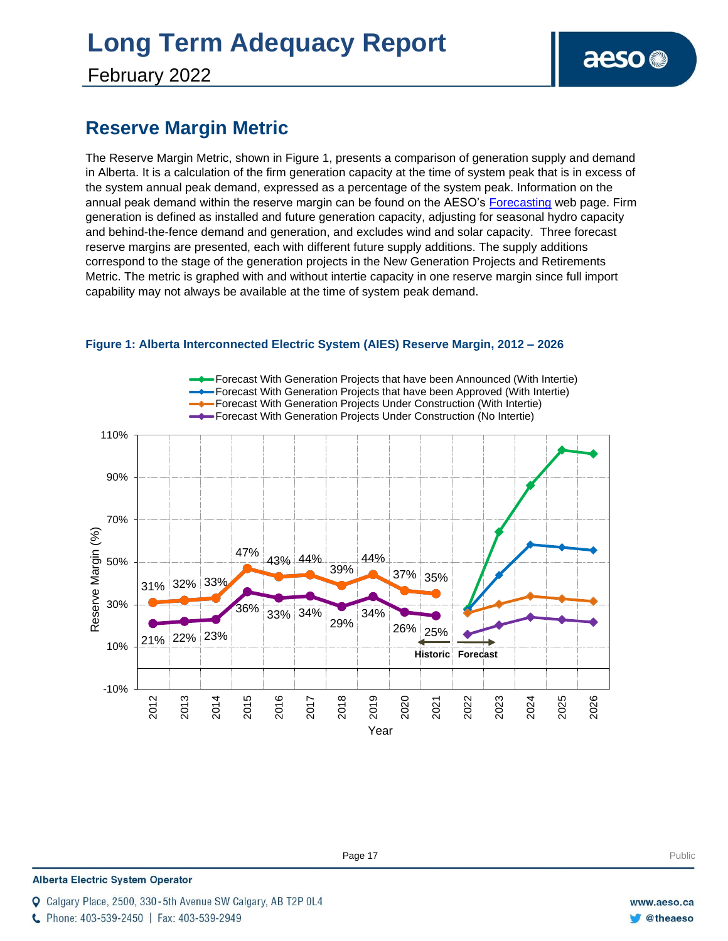# **Long Term Adequacy Report**

February 2022

### **Reserve Margin Metric**

The Reserve Margin Metric, shown in Figure 1, presents a comparison of generation supply and demand in Alberta. It is a calculation of the firm generation capacity at the time of system peak that is in excess of the system annual peak demand, expressed as a percentage of the system peak. Information on the annual peak demand within the reserve margin can be found on the AESO's [Forecasting](https://www.aeso.ca/grid/forecasting) web page. Firm generation is defined as installed and future generation capacity, adjusting for seasonal hydro capacity and behind-the-fence demand and generation, and excludes wind and solar capacity. Three forecast reserve margins are presented, each with different future supply additions. The supply additions correspond to the stage of the generation projects in the New Generation Projects and Retirements Metric. The metric is graphed with and without intertie capacity in one reserve margin since full import capability may not always be available at the time of system peak demand.



#### **Figure 1: Alberta Interconnected Electric System (AIES) Reserve Margin, 2012 – 2026**

**Enter Football Page 17** Public Public Public Public Public Public Public Public Public Public Public Public Public Public Public Public Public Public Public Public Public Public Public Public Public Public Public Public P

**Alberta Electric System Operator** 

Calgary Place, 2500, 330-5th Avenue SW Calgary, AB T2P 0L4

C Phone: 403-539-2450 | Fax: 403-539-2949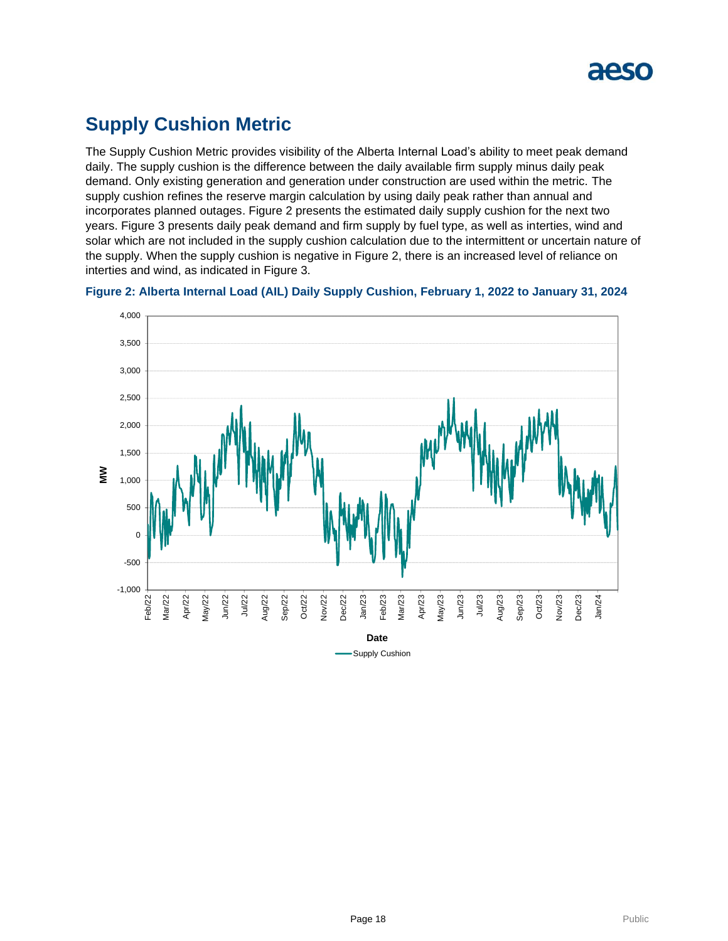

### **Supply Cushion Metric**

The Supply Cushion Metric provides visibility of the Alberta Internal Load's ability to meet peak demand daily. The supply cushion is the difference between the daily available firm supply minus daily peak demand. Only existing generation and generation under construction are used within the metric. The supply cushion refines the reserve margin calculation by using daily peak rather than annual and incorporates planned outages. Figure 2 presents the estimated daily supply cushion for the next two years. Figure 3 presents daily peak demand and firm supply by fuel type, as well as interties, wind and solar which are not included in the supply cushion calculation due to the intermittent or uncertain nature of the supply. When the supply cushion is negative in Figure 2, there is an increased level of reliance on interties and wind, as indicated in Figure 3.



**Figure 2: Alberta Internal Load (AIL) Daily Supply Cushion, February 1, 2022 to January 31, 2024**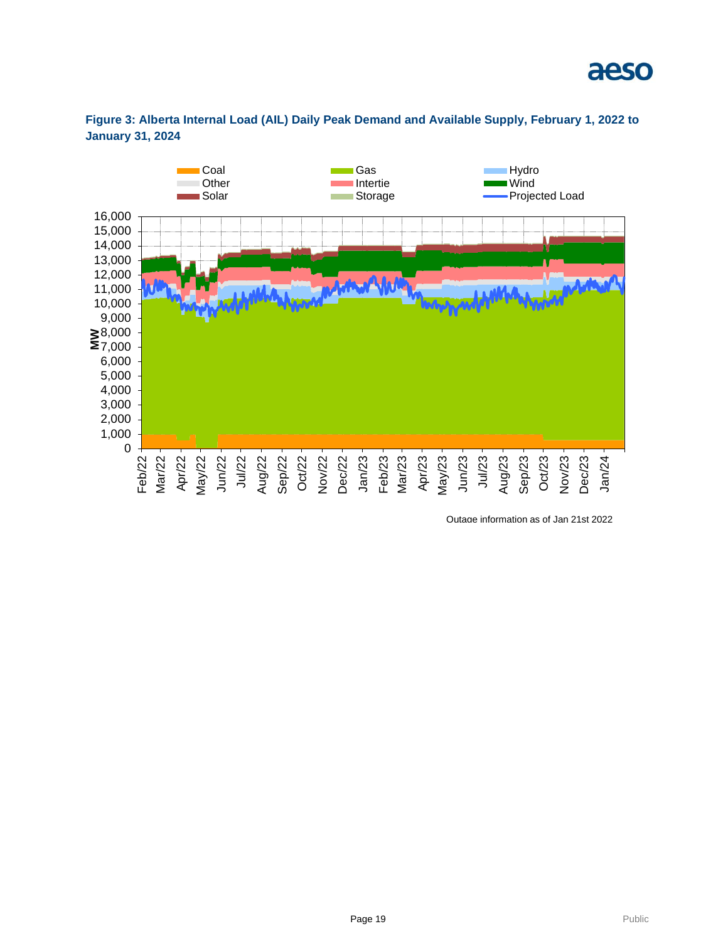



**Figure 3: Alberta Internal Load (AIL) Daily Peak Demand and Available Supply, February 1, 2022 to January 31, 2024**

Outage information as of Jan 21st 2022